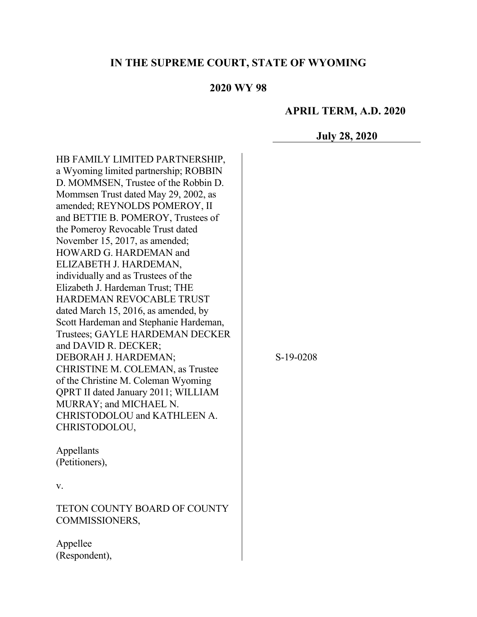## **IN THE SUPREME COURT, STATE OF WYOMING**

### **2020 WY 98**

#### **APRIL TERM, A.D. 2020**

**July 28, 2020**

HB FAMILY LIMITED PARTNERSHIP, a Wyoming limited partnership; ROBBIN D. MOMMSEN, Trustee of the Robbin D. Mommsen Trust dated May 29, 2002, as amended; REYNOLDS POMEROY, II and BETTIE B. POMEROY, Trustees of the Pomeroy Revocable Trust dated November 15, 2017, as amended; HOWARD G. HARDEMAN and ELIZABETH J. HARDEMAN, individually and as Trustees of the Elizabeth J. Hardeman Trust; THE HARDEMAN REVOCABLE TRUST dated March 15, 2016, as amended, by Scott Hardeman and Stephanie Hardeman, Trustees; GAYLE HARDEMAN DECKER and DAVID R. DECKER; DEBORAH J. HARDEMAN; CHRISTINE M. COLEMAN, as Trustee of the Christine M. Coleman Wyoming QPRT II dated January 2011; WILLIAM MURRAY; and MICHAEL N. CHRISTODOLOU and KATHLEEN A. CHRISTODOLOU,

S-19-0208

Appellants (Petitioners),

#### v.

TETON COUNTY BOARD OF COUNTY COMMISSIONERS,

Appellee (Respondent),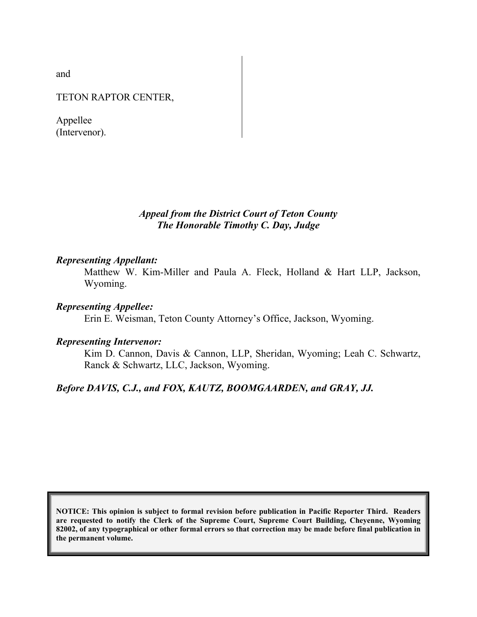and

TETON RAPTOR CENTER,

Appellee (Intervenor).

> *Appeal from the District Court of Teton County The Honorable Timothy C. Day, Judge*

#### *Representing Appellant:*

Matthew W. Kim-Miller and Paula A. Fleck, Holland & Hart LLP, Jackson, Wyoming.

#### *Representing Appellee:*

Erin E. Weisman, Teton County Attorney's Office, Jackson, Wyoming.

#### *Representing Intervenor:*

Kim D. Cannon, Davis & Cannon, LLP, Sheridan, Wyoming; Leah C. Schwartz, Ranck & Schwartz, LLC, Jackson, Wyoming.

#### *Before DAVIS, C.J., and FOX, KAUTZ, BOOMGAARDEN, and GRAY, JJ.*

**NOTICE: This opinion is subject to formal revision before publication in Pacific Reporter Third. Readers are requested to notify the Clerk of the Supreme Court, Supreme Court Building, Cheyenne, Wyoming 82002, of any typographical or other formal errors so that correction may be made before final publication in the permanent volume.**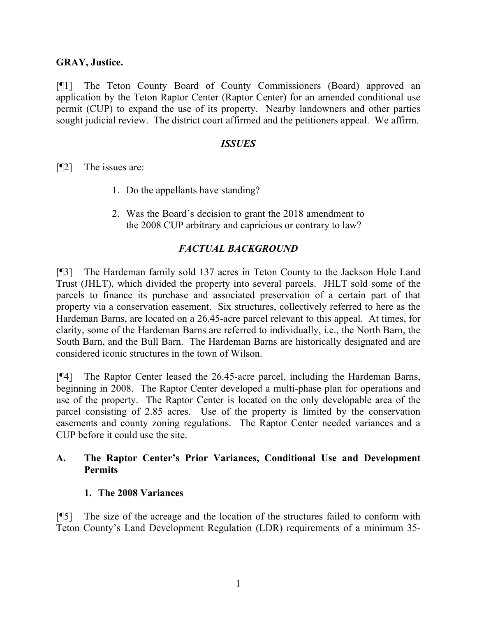### **GRAY, Justice.**

[¶1] The Teton County Board of County Commissioners (Board) approved an application by the Teton Raptor Center (Raptor Center) for an amended conditional use permit (CUP) to expand the use of its property. Nearby landowners and other parties sought judicial review. The district court affirmed and the petitioners appeal. We affirm.

#### *ISSUES*

[¶2] The issues are:

- 1. Do the appellants have standing?
- 2. Was the Board's decision to grant the 2018 amendment to the 2008 CUP arbitrary and capricious or contrary to law?

## *FACTUAL BACKGROUND*

[¶3] The Hardeman family sold 137 acres in Teton County to the Jackson Hole Land Trust (JHLT), which divided the property into several parcels. JHLT sold some of the parcels to finance its purchase and associated preservation of a certain part of that property via a conservation easement. Six structures, collectively referred to here as the Hardeman Barns, are located on a 26.45-acre parcel relevant to this appeal. At times, for clarity, some of the Hardeman Barns are referred to individually, i.e., the North Barn, the South Barn, and the Bull Barn. The Hardeman Barns are historically designated and are considered iconic structures in the town of Wilson.

[¶4] The Raptor Center leased the 26.45-acre parcel, including the Hardeman Barns, beginning in 2008. The Raptor Center developed a multi-phase plan for operations and use of the property. The Raptor Center is located on the only developable area of the parcel consisting of 2.85 acres. Use of the property is limited by the conservation easements and county zoning regulations. The Raptor Center needed variances and a CUP before it could use the site.

### **A. The Raptor Center's Prior Variances, Conditional Use and Development Permits**

#### **1. The 2008 Variances**

[¶5] The size of the acreage and the location of the structures failed to conform with Teton County's Land Development Regulation (LDR) requirements of a minimum 35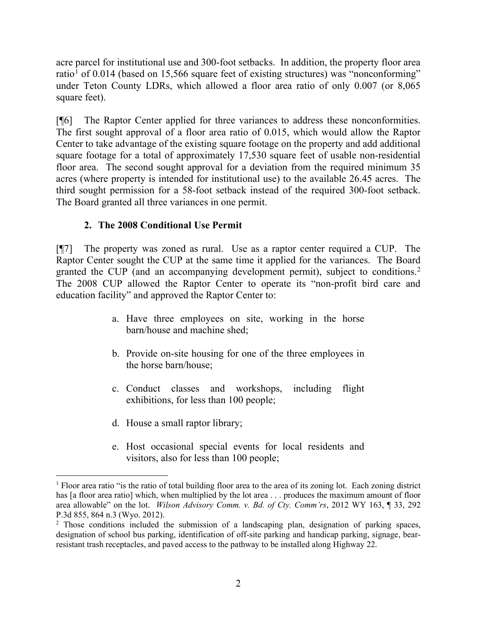acre parcel for institutional use and 300-foot setbacks. In addition, the property floor area ratio<sup>[1](#page-3-0)</sup> of 0.014 (based on 15,566 square feet of existing structures) was "nonconforming" under Teton County LDRs, which allowed a floor area ratio of only 0.007 (or 8,065 square feet).

[¶6] The Raptor Center applied for three variances to address these nonconformities. The first sought approval of a floor area ratio of 0.015, which would allow the Raptor Center to take advantage of the existing square footage on the property and add additional square footage for a total of approximately 17,530 square feet of usable non-residential floor area. The second sought approval for a deviation from the required minimum 35 acres (where property is intended for institutional use) to the available 26.45 acres. The third sought permission for a 58-foot setback instead of the required 300-foot setback. The Board granted all three variances in one permit.

# **2. The 2008 Conditional Use Permit**

[¶7] The property was zoned as rural. Use as a raptor center required a CUP. The Raptor Center sought the CUP at the same time it applied for the variances. The Board granted the CUP (and an accompanying development permit), subject to conditions.[2](#page-3-1) The 2008 CUP allowed the Raptor Center to operate its "non-profit bird care and education facility" and approved the Raptor Center to:

- a. Have three employees on site, working in the horse barn/house and machine shed;
- b. Provide on-site housing for one of the three employees in the horse barn/house;
- c. Conduct classes and workshops, including flight exhibitions, for less than 100 people;
- d. House a small raptor library;
- e. Host occasional special events for local residents and visitors, also for less than 100 people;

<span id="page-3-0"></span><sup>&</sup>lt;sup>1</sup> Floor area ratio "is the ratio of total building floor area to the area of its zoning lot. Each zoning district has [a floor area ratio] which, when multiplied by the lot area . . . produces the maximum amount of floor area allowable" on the lot. *Wilson Advisory Comm. v. Bd. of Cty. Comm'rs*, 2012 WY 163, ¶ 33, 292 P.3d 855, 864 n.3 (Wyo. 2012).

<span id="page-3-1"></span><sup>&</sup>lt;sup>2</sup> Those conditions included the submission of a landscaping plan, designation of parking spaces, designation of school bus parking, identification of off-site parking and handicap parking, signage, bearresistant trash receptacles, and paved access to the pathway to be installed along Highway 22.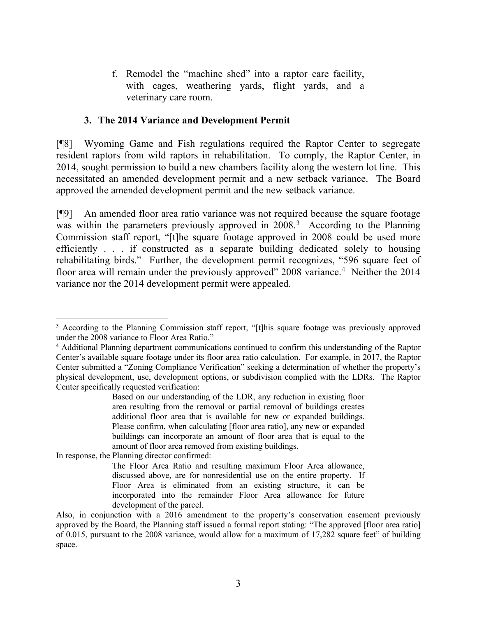f. Remodel the "machine shed" into a raptor care facility, with cages, weathering yards, flight yards, and a veterinary care room.

### **3. The 2014 Variance and Development Permit**

[¶8] Wyoming Game and Fish regulations required the Raptor Center to segregate resident raptors from wild raptors in rehabilitation. To comply, the Raptor Center, in 2014, sought permission to build a new chambers facility along the western lot line. This necessitated an amended development permit and a new setback variance. The Board approved the amended development permit and the new setback variance.

[¶9] An amended floor area ratio variance was not required because the square footage was within the parameters previously approved in 2008.<sup>[3](#page-4-0)</sup> According to the Planning Commission staff report, "[t]he square footage approved in 2008 could be used more efficiently . . . if constructed as a separate building dedicated solely to housing rehabilitating birds." Further, the development permit recognizes, "596 square feet of floor area will remain under the previously approved" 2008 variance.<sup>[4](#page-4-1)</sup> Neither the 2014 variance nor the 2014 development permit were appealed.

In response, the Planning director confirmed:

<span id="page-4-0"></span><sup>&</sup>lt;sup>3</sup> According to the Planning Commission staff report, "[t]his square footage was previously approved under the 2008 variance to Floor Area Ratio."

<span id="page-4-1"></span><sup>4</sup> Additional Planning department communications continued to confirm this understanding of the Raptor Center's available square footage under its floor area ratio calculation. For example, in 2017, the Raptor Center submitted a "Zoning Compliance Verification" seeking a determination of whether the property's physical development, use, development options, or subdivision complied with the LDRs. The Raptor Center specifically requested verification:

Based on our understanding of the LDR, any reduction in existing floor area resulting from the removal or partial removal of buildings creates additional floor area that is available for new or expanded buildings. Please confirm, when calculating [floor area ratio], any new or expanded buildings can incorporate an amount of floor area that is equal to the amount of floor area removed from existing buildings.

The Floor Area Ratio and resulting maximum Floor Area allowance, discussed above, are for nonresidential use on the entire property. If Floor Area is eliminated from an existing structure, it can be incorporated into the remainder Floor Area allowance for future development of the parcel.

Also, in conjunction with a 2016 amendment to the property's conservation easement previously approved by the Board, the Planning staff issued a formal report stating: "The approved [floor area ratio] of 0.015, pursuant to the 2008 variance, would allow for a maximum of 17,282 square feet" of building space.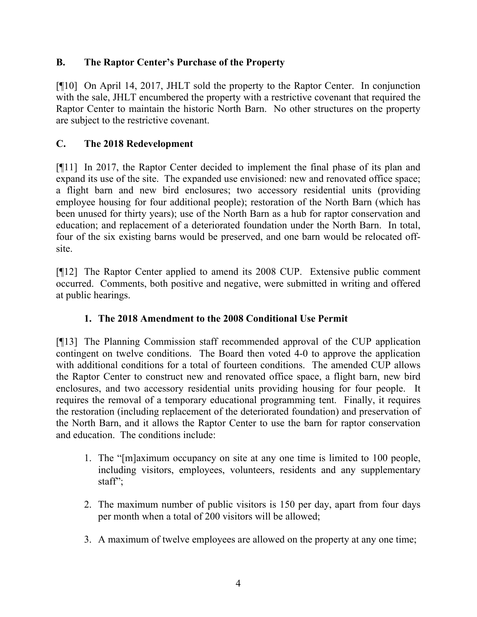# **B. The Raptor Center's Purchase of the Property**

[¶10] On April 14, 2017, JHLT sold the property to the Raptor Center. In conjunction with the sale, JHLT encumbered the property with a restrictive covenant that required the Raptor Center to maintain the historic North Barn. No other structures on the property are subject to the restrictive covenant.

# **C. The 2018 Redevelopment**

[¶11] In 2017, the Raptor Center decided to implement the final phase of its plan and expand its use of the site. The expanded use envisioned: new and renovated office space; a flight barn and new bird enclosures; two accessory residential units (providing employee housing for four additional people); restoration of the North Barn (which has been unused for thirty years); use of the North Barn as a hub for raptor conservation and education; and replacement of a deteriorated foundation under the North Barn. In total, four of the six existing barns would be preserved, and one barn would be relocated offsite.

[¶12] The Raptor Center applied to amend its 2008 CUP. Extensive public comment occurred. Comments, both positive and negative, were submitted in writing and offered at public hearings.

# **1. The 2018 Amendment to the 2008 Conditional Use Permit**

[¶13] The Planning Commission staff recommended approval of the CUP application contingent on twelve conditions. The Board then voted 4-0 to approve the application with additional conditions for a total of fourteen conditions. The amended CUP allows the Raptor Center to construct new and renovated office space, a flight barn, new bird enclosures, and two accessory residential units providing housing for four people. It requires the removal of a temporary educational programming tent. Finally, it requires the restoration (including replacement of the deteriorated foundation) and preservation of the North Barn, and it allows the Raptor Center to use the barn for raptor conservation and education. The conditions include:

- 1. The "[m]aximum occupancy on site at any one time is limited to 100 people, including visitors, employees, volunteers, residents and any supplementary staff";
- 2. The maximum number of public visitors is 150 per day, apart from four days per month when a total of 200 visitors will be allowed;
- 3. A maximum of twelve employees are allowed on the property at any one time;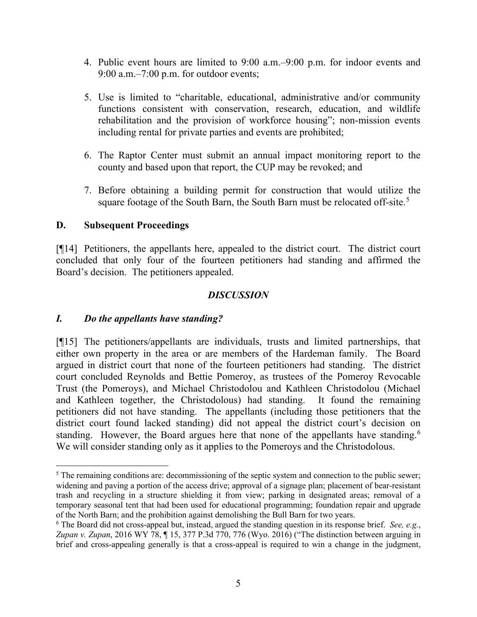- 4. Public event hours are limited to 9:00 a.m.–9:00 p.m. for indoor events and 9:00 a.m.–7:00 p.m. for outdoor events;
- 5. Use is limited to "charitable, educational, administrative and/or community functions consistent with conservation, research, education, and wildlife rehabilitation and the provision of workforce housing"; non-mission events including rental for private parties and events are prohibited;
- 6. The Raptor Center must submit an annual impact monitoring report to the county and based upon that report, the CUP may be revoked; and
- 7. Before obtaining a building permit for construction that would utilize the square footage of the South Barn, the South Barn must be relocated off-site.<sup>[5](#page-6-0)</sup>

## **D. Subsequent Proceedings**

[¶14] Petitioners, the appellants here, appealed to the district court. The district court concluded that only four of the fourteen petitioners had standing and affirmed the Board's decision. The petitioners appealed.

## *DISCUSSION*

# *I. Do the appellants have standing?*

[¶15] The petitioners/appellants are individuals, trusts and limited partnerships, that either own property in the area or are members of the Hardeman family. The Board argued in district court that none of the fourteen petitioners had standing. The district court concluded Reynolds and Bettie Pomeroy, as trustees of the Pomeroy Revocable Trust (the Pomeroys), and Michael Christodolou and Kathleen Christodolou (Michael and Kathleen together, the Christodolous) had standing. It found the remaining petitioners did not have standing. The appellants (including those petitioners that the district court found lacked standing) did not appeal the district court's decision on standing. However, the Board argues here that none of the appellants have standing.<sup>[6](#page-6-1)</sup> We will consider standing only as it applies to the Pomeroys and the Christodolous.

<span id="page-6-0"></span><sup>&</sup>lt;sup>5</sup> The remaining conditions are: decommissioning of the septic system and connection to the public sewer; widening and paving a portion of the access drive; approval of a signage plan; placement of bear-resistant trash and recycling in a structure shielding it from view; parking in designated areas; removal of a temporary seasonal tent that had been used for educational programming; foundation repair and upgrade of the North Barn; and the prohibition against demolishing the Bull Barn for two years.

<span id="page-6-1"></span><sup>6</sup> The Board did not cross-appeal but, instead, argued the standing question in its response brief. *See, e.g.*, *Zupan v. Zupan*, 2016 WY 78, ¶ 15, 377 P.3d 770, 776 (Wyo. 2016) ("The distinction between arguing in brief and cross-appealing generally is that a cross-appeal is required to win a change in the judgment,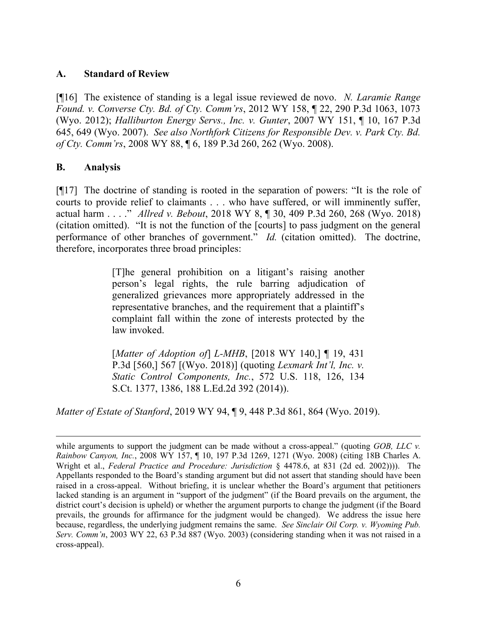## **A. Standard of Review**

[¶16] The existence of standing is a legal issue reviewed de novo. *N. Laramie Range Found. v. Converse Cty. Bd. of Cty. Comm'rs*, 2012 WY 158, ¶ 22, 290 P.3d 1063, 1073 (Wyo. 2012); *Halliburton Energy Servs., Inc. v. Gunter*, 2007 WY 151, ¶ 10, 167 P.3d 645, 649 (Wyo. 2007). *See also Northfork Citizens for Responsible Dev. v. Park Cty. Bd. of Cty. Comm'rs*, 2008 WY 88, ¶ 6, 189 P.3d 260, 262 (Wyo. 2008).

## **B. Analysis**

[¶17] The doctrine of standing is rooted in the separation of powers: "It is the role of courts to provide relief to claimants . . . who have suffered, or will imminently suffer, actual harm . . . ." *Allred v. Bebout*, 2018 WY 8, ¶ 30, 409 P.3d 260, 268 (Wyo. 2018) (citation omitted). "It is not the function of the [courts] to pass judgment on the general performance of other branches of government." *Id.* (citation omitted). The doctrine, therefore, incorporates three broad principles:

> [T]he general prohibition on a litigant's raising another person's legal rights, the rule barring adjudication of generalized grievances more appropriately addressed in the representative branches, and the requirement that a plaintiff's complaint fall within the zone of interests protected by the law invoked.

> [*Matter of Adoption of*] *L-MHB*, [2018 WY 140,] ¶ 19, 431 P.3d [560,] 567 [(Wyo. 2018)] (quoting *Lexmark Int'l, Inc. v. Static Control Components, Inc.*, 572 U.S. 118, 126, 134 S.Ct. 1377, 1386, 188 L.Ed.2d 392 (2014)).

*Matter of Estate of Stanford*, 2019 WY 94, ¶ 9, 448 P.3d 861, 864 (Wyo. 2019).

while arguments to support the judgment can be made without a cross-appeal." (quoting *GOB, LLC v. Rainbow Canyon, Inc.*, 2008 WY 157, ¶ 10, 197 P.3d 1269, 1271 (Wyo. 2008) (citing 18B Charles A. Wright et al., *Federal Practice and Procedure: Jurisdiction* § 4478.6, at 831 (2d ed. 2002)))). The Appellants responded to the Board's standing argument but did not assert that standing should have been raised in a cross-appeal. Without briefing, it is unclear whether the Board's argument that petitioners lacked standing is an argument in "support of the judgment" (if the Board prevails on the argument, the district court's decision is upheld) or whether the argument purports to change the judgment (if the Board prevails, the grounds for affirmance for the judgment would be changed). We address the issue here because, regardless, the underlying judgment remains the same. *See Sinclair Oil Corp. v. Wyoming Pub. Serv. Comm'n*, 2003 WY 22, 63 P.3d 887 (Wyo. 2003) (considering standing when it was not raised in a cross-appeal).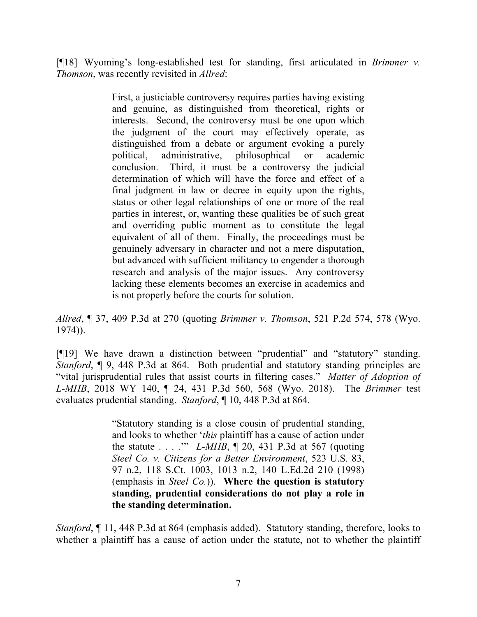[¶18] Wyoming's long-established test for standing, first articulated in *Brimmer v. Thomson*, was recently revisited in *Allred*:

> First, a justiciable controversy requires parties having existing and genuine, as distinguished from theoretical, rights or interests. Second, the controversy must be one upon which the judgment of the court may effectively operate, as distinguished from a debate or argument evoking a purely political, administrative, philosophical or academic conclusion. Third, it must be a controversy the judicial determination of which will have the force and effect of a final judgment in law or decree in equity upon the rights, status or other legal relationships of one or more of the real parties in interest, or, wanting these qualities be of such great and overriding public moment as to constitute the legal equivalent of all of them. Finally, the proceedings must be genuinely adversary in character and not a mere disputation, but advanced with sufficient militancy to engender a thorough research and analysis of the major issues. Any controversy lacking these elements becomes an exercise in academics and is not properly before the courts for solution.

*Allred*, ¶ 37, 409 P.3d at 270 (quoting *Brimmer v. Thomson*, 521 P.2d 574, 578 (Wyo. 1974)).

[¶19] We have drawn a distinction between "prudential" and "statutory" standing. *Stanford*, **[9.448 P.3d at 864.** Both prudential and statutory standing principles are "vital jurisprudential rules that assist courts in filtering cases." *Matter of Adoption of L-MHB*, 2018 WY 140, ¶ 24, 431 P.3d 560, 568 (Wyo. 2018). The *Brimmer* test evaluates prudential standing. *Stanford*, ¶ 10, 448 P.3d at 864.

> "Statutory standing is a close cousin of prudential standing, and looks to whether '*this* plaintiff has a cause of action under the statute . . . .'" *L-MHB*, ¶ 20, 431 P.3d at 567 (quoting *Steel Co. v. Citizens for a Better Environment*, 523 U.S. 83, 97 n.2, 118 S.Ct. 1003, 1013 n.2, 140 L.Ed.2d 210 (1998) (emphasis in *Steel Co.*)). **Where the question is statutory standing, prudential considerations do not play a role in the standing determination.**

*Stanford*, ¶ 11, 448 P.3d at 864 (emphasis added). Statutory standing, therefore, looks to whether a plaintiff has a cause of action under the statute, not to whether the plaintiff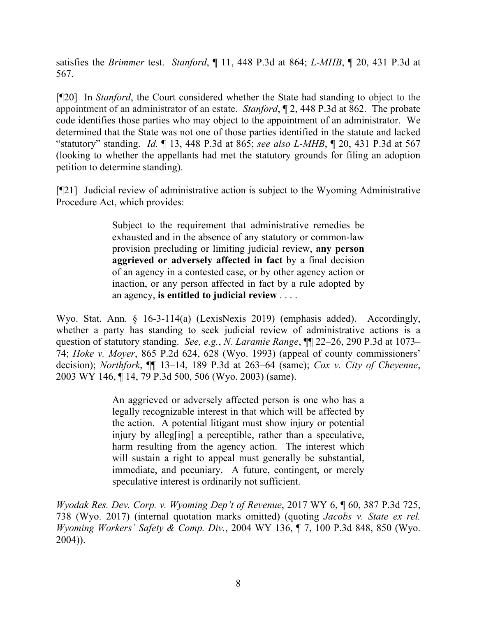satisfies the *Brimmer* test. *Stanford*, ¶ 11, 448 P.3d at 864; *L-MHB*, ¶ 20, 431 P.3d at 567.

[¶20] In *Stanford*, the Court considered whether the State had standing to object to the appointment of an administrator of an estate. *Stanford*, ¶ 2, 448 P.3d at 862. The probate code identifies those parties who may object to the appointment of an administrator. We determined that the State was not one of those parties identified in the statute and lacked "statutory" standing. *Id.* ¶ 13, 448 P.3d at 865; *see also L-MHB*, ¶ 20, 431 P.3d at 567 (looking to whether the appellants had met the statutory grounds for filing an adoption petition to determine standing).

[¶21] Judicial review of administrative action is subject to the Wyoming Administrative Procedure Act, which provides:

> Subject to the requirement that administrative remedies be exhausted and in the absence of any statutory or common-law provision precluding or limiting judicial review, **any person aggrieved or adversely affected in fact** by a final decision of an agency in a contested case, or by other agency action or inaction, or any person affected in fact by a rule adopted by an agency, **is entitled to judicial review** . . . .

Wyo. Stat. Ann. § 16-3-114(a) (LexisNexis 2019) (emphasis added). Accordingly, whether a party has standing to seek judicial review of administrative actions is a question of statutory standing. *See, e.g.*, *N. Laramie Range*, ¶¶ 22–26, 290 P.3d at 1073– 74; *Hoke v. Moyer*, 865 P.2d 624, 628 (Wyo. 1993) (appeal of county commissioners' decision); *Northfork*, ¶¶ 13–14, 189 P.3d at 263–64 (same); *Cox v. City of Cheyenne*, 2003 WY 146, ¶ 14, 79 P.3d 500, 506 (Wyo. 2003) (same).

> An aggrieved or adversely affected person is one who has a legally recognizable interest in that which will be affected by the action. A potential litigant must show injury or potential injury by alleg<sup>[ing]</sup> a perceptible, rather than a speculative, harm resulting from the agency action. The interest which will sustain a right to appeal must generally be substantial, immediate, and pecuniary. A future, contingent, or merely speculative interest is ordinarily not sufficient.

*Wyodak Res. Dev. Corp. v. Wyoming Dep't of Revenue*, 2017 WY 6, ¶ 60, 387 P.3d 725, 738 (Wyo. 2017) (internal quotation marks omitted) (quoting *Jacobs v. State ex rel. Wyoming Workers' Safety & Comp. Div.*, 2004 WY 136, ¶ 7, 100 P.3d 848, 850 (Wyo. 2004)).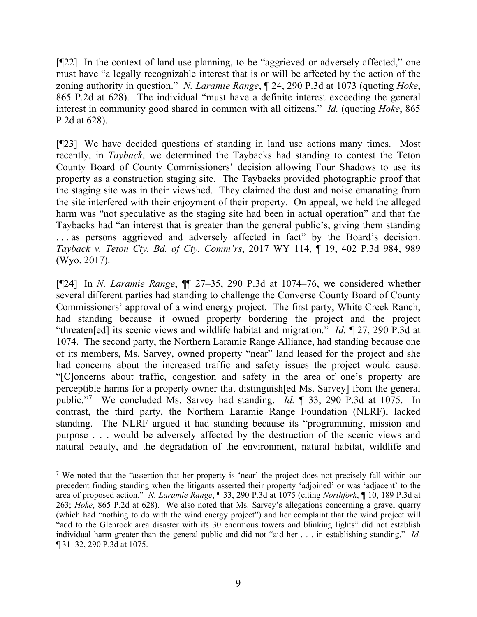[¶22] In the context of land use planning, to be "aggrieved or adversely affected," one must have "a legally recognizable interest that is or will be affected by the action of the zoning authority in question." *N. Laramie Range*, ¶ 24, 290 P.3d at 1073 (quoting *Hoke*, 865 P.2d at 628). The individual "must have a definite interest exceeding the general interest in community good shared in common with all citizens." *Id.* (quoting *Hoke*, 865 P.2d at 628).

[¶23] We have decided questions of standing in land use actions many times. Most recently, in *Tayback*, we determined the Taybacks had standing to contest the Teton County Board of County Commissioners' decision allowing Four Shadows to use its property as a construction staging site. The Taybacks provided photographic proof that the staging site was in their viewshed. They claimed the dust and noise emanating from the site interfered with their enjoyment of their property. On appeal, we held the alleged harm was "not speculative as the staging site had been in actual operation" and that the Taybacks had "an interest that is greater than the general public's, giving them standing . . . as persons aggrieved and adversely affected in fact" by the Board's decision. *Tayback v. Teton Cty. Bd. of Cty. Comm'rs*, 2017 WY 114, ¶ 19, 402 P.3d 984, 989 (Wyo. 2017).

[¶24] In *N. Laramie Range*, ¶¶ 27–35, 290 P.3d at 1074–76, we considered whether several different parties had standing to challenge the Converse County Board of County Commissioners' approval of a wind energy project. The first party, White Creek Ranch, had standing because it owned property bordering the project and the project "threaten[ed] its scenic views and wildlife habitat and migration." *Id.* ¶ 27, 290 P.3d at 1074. The second party, the Northern Laramie Range Alliance, had standing because one of its members, Ms. Sarvey, owned property "near" land leased for the project and she had concerns about the increased traffic and safety issues the project would cause. "[C]oncerns about traffic, congestion and safety in the area of one's property are perceptible harms for a property owner that distinguish[ed Ms. Sarvey] from the general public."[7](#page-10-0) We concluded Ms. Sarvey had standing. *Id.* ¶ 33, 290 P.3d at 1075. In contrast, the third party, the Northern Laramie Range Foundation (NLRF), lacked standing. The NLRF argued it had standing because its "programming, mission and purpose . . . would be adversely affected by the destruction of the scenic views and natural beauty, and the degradation of the environment, natural habitat, wildlife and

<span id="page-10-0"></span><sup>&</sup>lt;sup>7</sup> We noted that the "assertion that her property is 'near' the project does not precisely fall within our precedent finding standing when the litigants asserted their property 'adjoined' or was 'adjacent' to the area of proposed action." *N. Laramie Range*, ¶ 33, 290 P.3d at 1075 (citing *Northfork*, ¶ 10, 189 P.3d at 263; *Hoke*, 865 P.2d at 628). We also noted that Ms. Sarvey's allegations concerning a gravel quarry (which had "nothing to do with the wind energy project") and her complaint that the wind project will "add to the Glenrock area disaster with its 30 enormous towers and blinking lights" did not establish individual harm greater than the general public and did not "aid her . . . in establishing standing." *Id.* ¶ 31–32, 290 P.3d at 1075.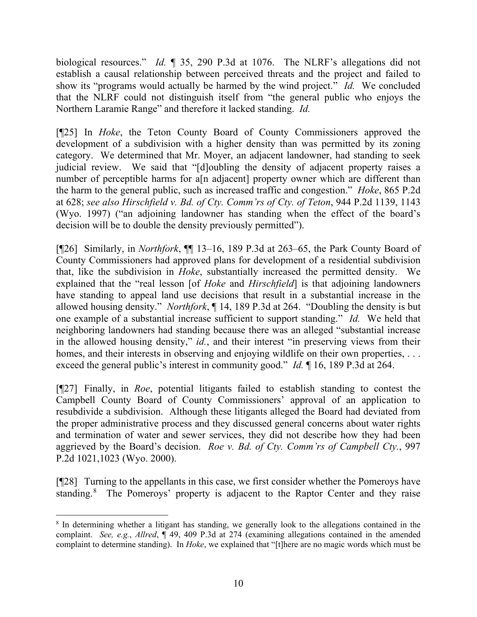biological resources." *Id.* ¶ 35, 290 P.3d at 1076. The NLRF's allegations did not establish a causal relationship between perceived threats and the project and failed to show its "programs would actually be harmed by the wind project." *Id.* We concluded that the NLRF could not distinguish itself from "the general public who enjoys the Northern Laramie Range" and therefore it lacked standing. *Id.*

[¶25] In *Hoke*, the Teton County Board of County Commissioners approved the development of a subdivision with a higher density than was permitted by its zoning category. We determined that Mr. Moyer, an adjacent landowner, had standing to seek judicial review. We said that "[d]oubling the density of adjacent property raises a number of perceptible harms for a<sup>[n adjacent]</sup> property owner which are different than the harm to the general public, such as increased traffic and congestion." *Hoke*, 865 P.2d at 628; *see also Hirschfield v. Bd. of Cty. Comm'rs of Cty. of Teton*, 944 P.2d 1139, 1143 (Wyo. 1997) ("an adjoining landowner has standing when the effect of the board's decision will be to double the density previously permitted").

[¶26] Similarly, in *Northfork*, ¶¶ 13–16, 189 P.3d at 263–65, the Park County Board of County Commissioners had approved plans for development of a residential subdivision that, like the subdivision in *Hoke*, substantially increased the permitted density. We explained that the "real lesson [of *Hoke* and *Hirschfield*] is that adjoining landowners have standing to appeal land use decisions that result in a substantial increase in the allowed housing density." *Northfork*, ¶ 14, 189 P.3d at 264. "Doubling the density is but one example of a substantial increase sufficient to support standing." *Id.* We held that neighboring landowners had standing because there was an alleged "substantial increase in the allowed housing density," *id.*, and their interest "in preserving views from their homes, and their interests in observing and enjoying wildlife on their own properties, ... exceed the general public's interest in community good." *Id.* ¶ 16, 189 P.3d at 264.

[¶27] Finally, in *Roe*, potential litigants failed to establish standing to contest the Campbell County Board of County Commissioners' approval of an application to resubdivide a subdivision. Although these litigants alleged the Board had deviated from the proper administrative process and they discussed general concerns about water rights and termination of water and sewer services, they did not describe how they had been aggrieved by the Board's decision. *Roe v. Bd. of Cty. Comm'rs of Campbell Cty.*, 997 P.2d 1021,1023 (Wyo. 2000).

[¶28] Turning to the appellants in this case, we first consider whether the Pomeroys have standing.<sup>[8](#page-11-0)</sup> The Pomeroys' property is adjacent to the Raptor Center and they raise

<span id="page-11-0"></span><sup>8</sup> In determining whether a litigant has standing, we generally look to the allegations contained in the complaint. *See, e.g.*, *Allred*, ¶ 49, 409 P.3d at 274 (examining allegations contained in the amended complaint to determine standing). In *Hoke*, we explained that "[t]here are no magic words which must be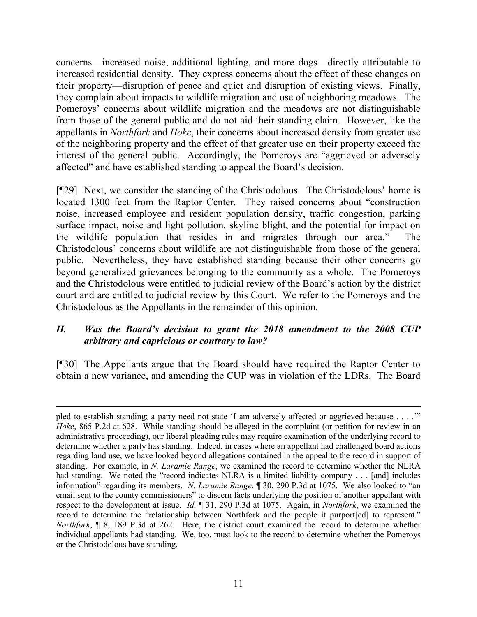concerns—increased noise, additional lighting, and more dogs—directly attributable to increased residential density. They express concerns about the effect of these changes on their property—disruption of peace and quiet and disruption of existing views. Finally, they complain about impacts to wildlife migration and use of neighboring meadows. The Pomeroys' concerns about wildlife migration and the meadows are not distinguishable from those of the general public and do not aid their standing claim. However, like the appellants in *Northfork* and *Hoke*, their concerns about increased density from greater use of the neighboring property and the effect of that greater use on their property exceed the interest of the general public. Accordingly, the Pomeroys are "aggrieved or adversely affected" and have established standing to appeal the Board's decision.

[¶29] Next, we consider the standing of the Christodolous. The Christodolous' home is located 1300 feet from the Raptor Center. They raised concerns about "construction noise, increased employee and resident population density, traffic congestion, parking surface impact, noise and light pollution, skyline blight, and the potential for impact on the wildlife population that resides in and migrates through our area." The Christodolous' concerns about wildlife are not distinguishable from those of the general public. Nevertheless, they have established standing because their other concerns go beyond generalized grievances belonging to the community as a whole. The Pomeroys and the Christodolous were entitled to judicial review of the Board's action by the district court and are entitled to judicial review by this Court. We refer to the Pomeroys and the Christodolous as the Appellants in the remainder of this opinion.

## *II. Was the Board's decision to grant the 2018 amendment to the 2008 CUP arbitrary and capricious or contrary to law?*

[¶30] The Appellants argue that the Board should have required the Raptor Center to obtain a new variance, and amending the CUP was in violation of the LDRs. The Board

pled to establish standing; a party need not state 'I am adversely affected or aggrieved because . . . .'" *Hoke*, 865 P.2d at 628. While standing should be alleged in the complaint (or petition for review in an administrative proceeding), our liberal pleading rules may require examination of the underlying record to determine whether a party has standing. Indeed, in cases where an appellant had challenged board actions regarding land use, we have looked beyond allegations contained in the appeal to the record in support of standing. For example, in *N. Laramie Range*, we examined the record to determine whether the NLRA had standing. We noted the "record indicates NLRA is a limited liability company . . . [and] includes information" regarding its members. *N. Laramie Range*, ¶ 30, 290 P.3d at 1075. We also looked to "an email sent to the county commissioners" to discern facts underlying the position of another appellant with respect to the development at issue. *Id.* ¶ 31, 290 P.3d at 1075. Again, in *Northfork*, we examined the record to determine the "relationship between Northfork and the people it purport[ed] to represent." *Northfork*, ¶ 8, 189 P.3d at 262. Here, the district court examined the record to determine whether individual appellants had standing. We, too, must look to the record to determine whether the Pomeroys or the Christodolous have standing.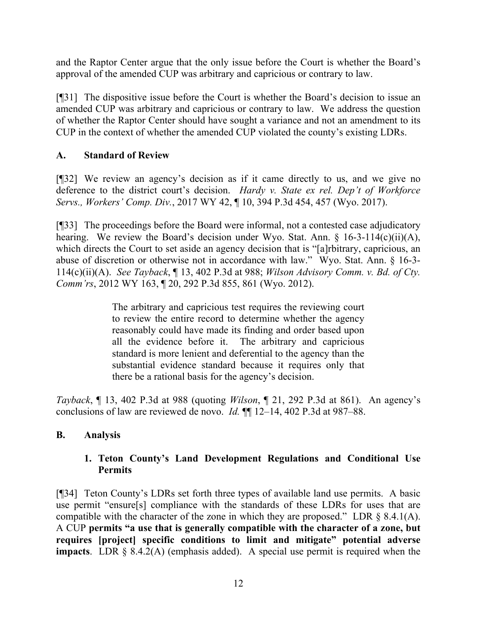and the Raptor Center argue that the only issue before the Court is whether the Board's approval of the amended CUP was arbitrary and capricious or contrary to law.

[¶31] The dispositive issue before the Court is whether the Board's decision to issue an amended CUP was arbitrary and capricious or contrary to law. We address the question of whether the Raptor Center should have sought a variance and not an amendment to its CUP in the context of whether the amended CUP violated the county's existing LDRs.

# **A. Standard of Review**

[¶32] We review an agency's decision as if it came directly to us, and we give no deference to the district court's decision. *Hardy v. State ex rel. Dep't of Workforce Servs., Workers' Comp. Div.*, 2017 WY 42, ¶ 10, 394 P.3d 454, 457 (Wyo. 2017).

[¶33] The proceedings before the Board were informal, not a contested case adjudicatory hearing. We review the Board's decision under Wyo. Stat. Ann. § 16-3-114(c)(ii)(A), which directs the Court to set aside an agency decision that is "[a]rbitrary, capricious, an abuse of discretion or otherwise not in accordance with law." Wyo. Stat. Ann. § 16-3- 114(c)(ii)(A). *See Tayback*, ¶ 13, 402 P.3d at 988; *Wilson Advisory Comm. v. Bd. of Cty. Comm'rs*, 2012 WY 163, ¶ 20, 292 P.3d 855, 861 (Wyo. 2012).

> The arbitrary and capricious test requires the reviewing court to review the entire record to determine whether the agency reasonably could have made its finding and order based upon all the evidence before it. The arbitrary and capricious standard is more lenient and deferential to the agency than the substantial evidence standard because it requires only that there be a rational basis for the agency's decision.

*Tayback*, ¶ 13, 402 P.3d at 988 (quoting *Wilson*, ¶ 21, 292 P.3d at 861). An agency's conclusions of law are reviewed de novo. *Id.* ¶¶ 12–14, 402 P.3d at 987–88.

# **B. Analysis**

# **1. Teton County's Land Development Regulations and Conditional Use Permits**

[¶34] Teton County's LDRs set forth three types of available land use permits. A basic use permit "ensure[s] compliance with the standards of these LDRs for uses that are compatible with the character of the zone in which they are proposed." LDR § 8.4.1(A). A CUP **permits "a use that is generally compatible with the character of a zone, but requires [project] specific conditions to limit and mitigate" potential adverse impacts**. LDR § 8.4.2(A) (emphasis added). A special use permit is required when the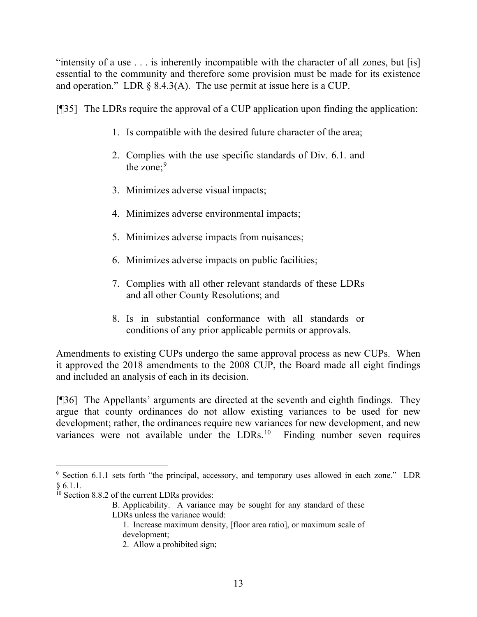"intensity of a use . . . is inherently incompatible with the character of all zones, but [is] essential to the community and therefore some provision must be made for its existence and operation." LDR  $\S$  8.4.3(A). The use permit at issue here is a CUP.

[¶35] The LDRs require the approval of a CUP application upon finding the application:

- 1. Is compatible with the desired future character of the area;
- 2. Complies with the use specific standards of Div. 6.1. and the zone;<sup>[9](#page-14-0)</sup>
- 3. Minimizes adverse visual impacts;
- 4. Minimizes adverse environmental impacts;
- 5. Minimizes adverse impacts from nuisances;
- 6. Minimizes adverse impacts on public facilities;
- 7. Complies with all other relevant standards of these LDRs and all other County Resolutions; and
- 8. Is in substantial conformance with all standards or conditions of any prior applicable permits or approvals.

Amendments to existing CUPs undergo the same approval process as new CUPs. When it approved the 2018 amendments to the 2008 CUP, the Board made all eight findings and included an analysis of each in its decision.

[¶36] The Appellants' arguments are directed at the seventh and eighth findings. They argue that county ordinances do not allow existing variances to be used for new development; rather, the ordinances require new variances for new development, and new variances were not available under the LDRs.<sup>[10](#page-14-1)</sup> Finding number seven requires

<span id="page-14-0"></span><sup>&</sup>lt;sup>9</sup> Section 6.1.1 sets forth "the principal, accessory, and temporary uses allowed in each zone." LDR § 6.1.1.

<span id="page-14-1"></span> $10$  Section 8.8.2 of the current LDRs provides:

B. Applicability. A variance may be sought for any standard of these LDRs unless the variance would:

<sup>1.</sup> Increase maximum density, [floor area ratio], or maximum scale of development;

<sup>2.</sup> Allow a prohibited sign;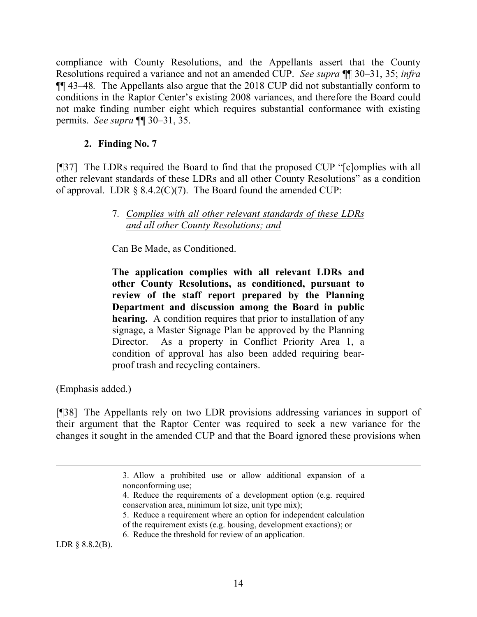compliance with County Resolutions, and the Appellants assert that the County Resolutions required a variance and not an amended CUP. *See supra* ¶¶ 30–31, 35; *infra* ¶¶ 43–48*.* The Appellants also argue that the 2018 CUP did not substantially conform to conditions in the Raptor Center's existing 2008 variances, and therefore the Board could not make finding number eight which requires substantial conformance with existing permits. *See supra* ¶¶ 30–31, 35.

## **2. Finding No. 7**

[¶37] The LDRs required the Board to find that the proposed CUP "[c]omplies with all other relevant standards of these LDRs and all other County Resolutions" as a condition of approval. LDR  $\S$  8.4.2(C)(7). The Board found the amended CUP:

## 7*. Complies with all other relevant standards of these LDRs and all other County Resolutions; and*

Can Be Made, as Conditioned.

**The application complies with all relevant LDRs and other County Resolutions, as conditioned, pursuant to review of the staff report prepared by the Planning Department and discussion among the Board in public hearing.** A condition requires that prior to installation of any signage, a Master Signage Plan be approved by the Planning Director. As a property in Conflict Priority Area 1, a condition of approval has also been added requiring bearproof trash and recycling containers.

(Emphasis added.)

[¶38] The Appellants rely on two LDR provisions addressing variances in support of their argument that the Raptor Center was required to seek a new variance for the changes it sought in the amended CUP and that the Board ignored these provisions when

LDR § 8.8.2(B).

<sup>3.</sup> Allow a prohibited use or allow additional expansion of a nonconforming use;

<sup>4.</sup> Reduce the requirements of a development option (e.g. required conservation area, minimum lot size, unit type mix);

<sup>5.</sup> Reduce a requirement where an option for independent calculation

of the requirement exists (e.g. housing, development exactions); or

<sup>6.</sup> Reduce the threshold for review of an application.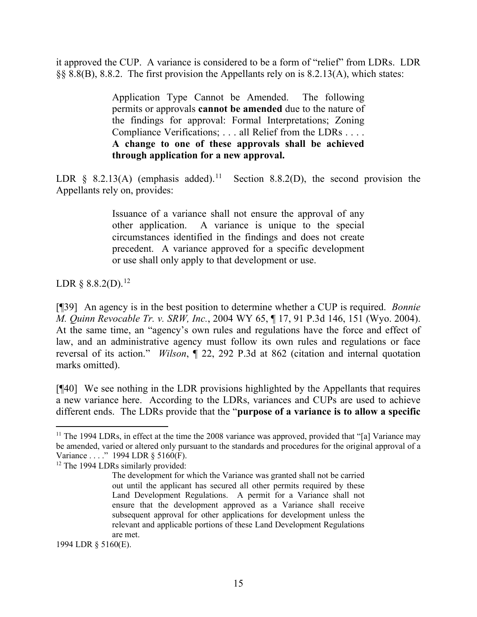it approved the CUP. A variance is considered to be a form of "relief" from LDRs. LDR §§ 8.8(B), 8.8.2. The first provision the Appellants rely on is 8.2.13(A), which states:

> Application Type Cannot be Amended. The following permits or approvals **cannot be amended** due to the nature of the findings for approval: Formal Interpretations; Zoning Compliance Verifications; . . . all Relief from the LDRs . . . . **A change to one of these approvals shall be achieved through application for a new approval.**

LDR  $\S$  8.2.13(A) (emphasis added).<sup>11</sup> Section 8.8.2(D), the second provision the Appellants rely on, provides:

> Issuance of a variance shall not ensure the approval of any other application. A variance is unique to the special circumstances identified in the findings and does not create precedent. A variance approved for a specific development or use shall only apply to that development or use.

LDR  $\S 8.8.2(D).^{12}$  $\S 8.8.2(D).^{12}$  $\S 8.8.2(D).^{12}$ 

[¶39] An agency is in the best position to determine whether a CUP is required. *Bonnie M. Quinn Revocable Tr. v. SRW, Inc.*, 2004 WY 65, ¶ 17, 91 P.3d 146, 151 (Wyo. 2004). At the same time, an "agency's own rules and regulations have the force and effect of law, and an administrative agency must follow its own rules and regulations or face reversal of its action." *Wilson*, ¶ 22, 292 P.3d at 862 (citation and internal quotation marks omitted).

[¶40] We see nothing in the LDR provisions highlighted by the Appellants that requires a new variance here. According to the LDRs, variances and CUPs are used to achieve different ends. The LDRs provide that the "**purpose of a variance is to allow a specific** 

1994 LDR § 5160(E).

<span id="page-16-0"></span> $11$  The 1994 LDRs, in effect at the time the 2008 variance was approved, provided that "[a] Variance may be amended, varied or altered only pursuant to the standards and procedures for the original approval of a Variance . . . ." 1994 LDR § 5160(F).

<span id="page-16-1"></span><sup>&</sup>lt;sup>12</sup> The 1994 LDRs similarly provided:

The development for which the Variance was granted shall not be carried out until the applicant has secured all other permits required by these Land Development Regulations. A permit for a Variance shall not ensure that the development approved as a Variance shall receive subsequent approval for other applications for development unless the relevant and applicable portions of these Land Development Regulations are met.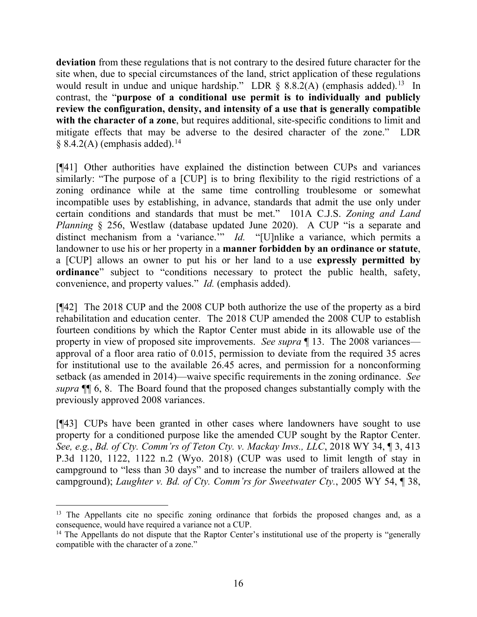**deviation** from these regulations that is not contrary to the desired future character for the site when, due to special circumstances of the land, strict application of these regulations would result in undue and unique hardship." LDR  $\S$  8.8.2(A) (emphasis added).<sup>[13](#page-17-0)</sup> In contrast, the "**purpose of a conditional use permit is to individually and publicly review the configuration, density, and intensity of a use that is generally compatible with the character of a zone**, but requires additional, site-specific conditions to limit and mitigate effects that may be adverse to the desired character of the zone." LDR  $§ 8.4.2(A)$  (emphasis added).<sup>[14](#page-17-1)</sup>

[¶41] Other authorities have explained the distinction between CUPs and variances similarly: "The purpose of a [CUP] is to bring flexibility to the rigid restrictions of a zoning ordinance while at the same time controlling troublesome or somewhat incompatible uses by establishing, in advance, standards that admit the use only under certain conditions and standards that must be met." 101A C.J.S. *Zoning and Land Planning* § 256, Westlaw (database updated June 2020). A CUP "is a separate and distinct mechanism from a 'variance.'" *Id.* "[U]nlike a variance, which permits a landowner to use his or her property in a **manner forbidden by an ordinance or statute**, a [CUP] allows an owner to put his or her land to a use **expressly permitted by ordinance**" subject to "conditions necessary to protect the public health, safety, convenience, and property values." *Id.* (emphasis added).

[¶42] The 2018 CUP and the 2008 CUP both authorize the use of the property as a bird rehabilitation and education center. The 2018 CUP amended the 2008 CUP to establish fourteen conditions by which the Raptor Center must abide in its allowable use of the property in view of proposed site improvements. *See supra* ¶ 13. The 2008 variances approval of a floor area ratio of 0.015, permission to deviate from the required 35 acres for institutional use to the available 26.45 acres, and permission for a nonconforming setback (as amended in 2014)—waive specific requirements in the zoning ordinance. *See supra* ¶¶ 6, 8. The Board found that the proposed changes substantially comply with the previously approved 2008 variances.

[¶43] CUPs have been granted in other cases where landowners have sought to use property for a conditioned purpose like the amended CUP sought by the Raptor Center. *See, e.g.*, *Bd. of Cty. Comm'rs of Teton Cty. v. Mackay Invs., LLC*, 2018 WY 34, ¶ 3, 413 P.3d 1120, 1122, 1122 n.2 (Wyo. 2018) (CUP was used to limit length of stay in campground to "less than 30 days" and to increase the number of trailers allowed at the campground); *Laughter v. Bd. of Cty. Comm'rs for Sweetwater Cty.*, 2005 WY 54, ¶ 38,

<span id="page-17-0"></span><sup>&</sup>lt;sup>13</sup> The Appellants cite no specific zoning ordinance that forbids the proposed changes and, as a consequence, would have required a variance not a CUP.

<span id="page-17-1"></span><sup>&</sup>lt;sup>14</sup> The Appellants do not dispute that the Raptor Center's institutional use of the property is "generally compatible with the character of a zone."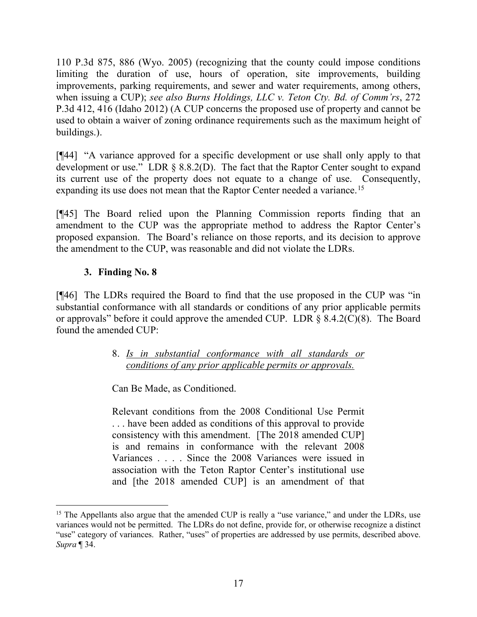110 P.3d 875, 886 (Wyo. 2005) (recognizing that the county could impose conditions limiting the duration of use, hours of operation, site improvements, building improvements, parking requirements, and sewer and water requirements, among others, when issuing a CUP); *see also Burns Holdings, LLC v. Teton Cty. Bd. of Comm'rs*, 272 P.3d 412, 416 (Idaho 2012) (A CUP concerns the proposed use of property and cannot be used to obtain a waiver of zoning ordinance requirements such as the maximum height of buildings.).

[¶44] "A variance approved for a specific development or use shall only apply to that development or use." LDR § 8.8.2(D). The fact that the Raptor Center sought to expand its current use of the property does not equate to a change of use. Consequently, expanding its use does not mean that the Raptor Center needed a variance.<sup>[15](#page-18-0)</sup>

[¶45] The Board relied upon the Planning Commission reports finding that an amendment to the CUP was the appropriate method to address the Raptor Center's proposed expansion. The Board's reliance on those reports, and its decision to approve the amendment to the CUP, was reasonable and did not violate the LDRs.

## **3. Finding No. 8**

[¶46] The LDRs required the Board to find that the use proposed in the CUP was "in substantial conformance with all standards or conditions of any prior applicable permits or approvals" before it could approve the amended CUP. LDR § 8.4.2(C)(8). The Board found the amended CUP:

> 8. *Is in substantial conformance with all standards or conditions of any prior applicable permits or approvals.*

Can Be Made, as Conditioned.

Relevant conditions from the 2008 Conditional Use Permit . . . have been added as conditions of this approval to provide consistency with this amendment. [The 2018 amended CUP] is and remains in conformance with the relevant 2008 Variances . . . . Since the 2008 Variances were issued in association with the Teton Raptor Center's institutional use and [the 2018 amended CUP] is an amendment of that

<span id="page-18-0"></span><sup>&</sup>lt;sup>15</sup> The Appellants also argue that the amended CUP is really a "use variance," and under the LDRs, use variances would not be permitted. The LDRs do not define, provide for, or otherwise recognize a distinct "use" category of variances. Rather, "uses" of properties are addressed by use permits, described above. *Supra* ¶ 34.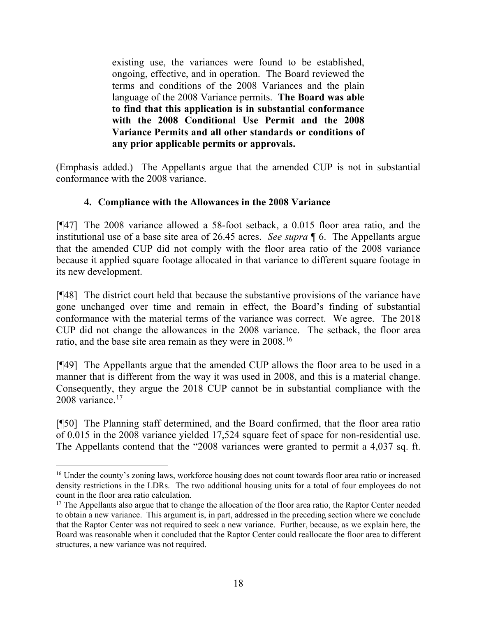existing use, the variances were found to be established, ongoing, effective, and in operation. The Board reviewed the terms and conditions of the 2008 Variances and the plain language of the 2008 Variance permits. **The Board was able to find that this application is in substantial conformance with the 2008 Conditional Use Permit and the 2008 Variance Permits and all other standards or conditions of any prior applicable permits or approvals.** 

(Emphasis added.) The Appellants argue that the amended CUP is not in substantial conformance with the 2008 variance.

## **4. Compliance with the Allowances in the 2008 Variance**

[¶47] The 2008 variance allowed a 58-foot setback, a 0.015 floor area ratio, and the institutional use of a base site area of 26.45 acres. *See supra* ¶ 6. The Appellants argue that the amended CUP did not comply with the floor area ratio of the 2008 variance because it applied square footage allocated in that variance to different square footage in its new development.

[¶48] The district court held that because the substantive provisions of the variance have gone unchanged over time and remain in effect, the Board's finding of substantial conformance with the material terms of the variance was correct. We agree. The 2018 CUP did not change the allowances in the 2008 variance. The setback, the floor area ratio, and the base site area remain as they were in 2008.[16](#page-19-0)

[¶49] The Appellants argue that the amended CUP allows the floor area to be used in a manner that is different from the way it was used in 2008, and this is a material change. Consequently, they argue the 2018 CUP cannot be in substantial compliance with the 2008 variance.<sup>[17](#page-19-1)</sup>

[¶50] The Planning staff determined, and the Board confirmed, that the floor area ratio of 0.015 in the 2008 variance yielded 17,524 square feet of space for non-residential use. The Appellants contend that the "2008 variances were granted to permit a 4,037 sq. ft.

<span id="page-19-0"></span><sup>&</sup>lt;sup>16</sup> Under the county's zoning laws, workforce housing does not count towards floor area ratio or increased density restrictions in the LDRs. The two additional housing units for a total of four employees do not count in the floor area ratio calculation.

<span id="page-19-1"></span><sup>&</sup>lt;sup>17</sup> The Appellants also argue that to change the allocation of the floor area ratio, the Raptor Center needed to obtain a new variance. This argument is, in part, addressed in the preceding section where we conclude that the Raptor Center was not required to seek a new variance. Further, because, as we explain here, the Board was reasonable when it concluded that the Raptor Center could reallocate the floor area to different structures, a new variance was not required.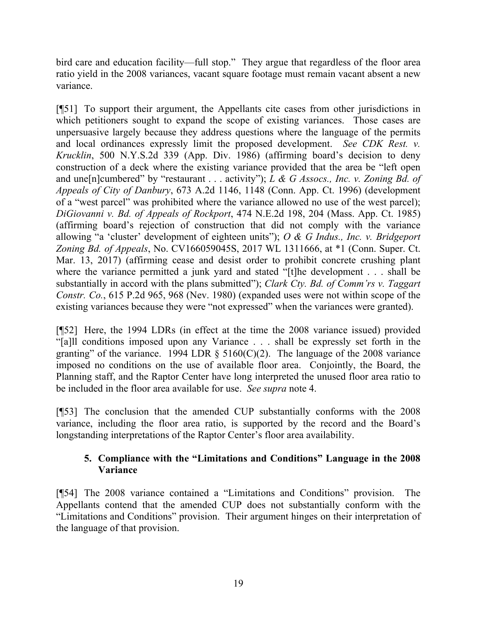bird care and education facility—full stop." They argue that regardless of the floor area ratio yield in the 2008 variances, vacant square footage must remain vacant absent a new variance.

[¶51] To support their argument, the Appellants cite cases from other jurisdictions in which petitioners sought to expand the scope of existing variances. Those cases are unpersuasive largely because they address questions where the language of the permits and local ordinances expressly limit the proposed development. *See CDK Rest. v. Krucklin*, 500 N.Y.S.2d 339 (App. Div. 1986) (affirming board's decision to deny construction of a deck where the existing variance provided that the area be "left open and une[n]cumbered" by "restaurant . . . activity"); *L & G Assocs., Inc. v. Zoning Bd. of Appeals of City of Danbury*, 673 A.2d 1146, 1148 (Conn. App. Ct. 1996) (development of a "west parcel" was prohibited where the variance allowed no use of the west parcel); *DiGiovanni v. Bd. of Appeals of Rockport*, 474 N.E.2d 198, 204 (Mass. App. Ct. 1985) (affirming board's rejection of construction that did not comply with the variance allowing "a 'cluster' development of eighteen units"); *O & G Indus., Inc. v. Bridgeport Zoning Bd. of Appeals*, No. CV166059045S, 2017 WL 1311666, at \*1 (Conn. Super. Ct. Mar. 13, 2017) (affirming cease and desist order to prohibit concrete crushing plant where the variance permitted a junk yard and stated "[t]he development . . . shall be substantially in accord with the plans submitted"); *Clark Cty. Bd. of Comm'rs v. Taggart Constr. Co.*, 615 P.2d 965, 968 (Nev. 1980) (expanded uses were not within scope of the existing variances because they were "not expressed" when the variances were granted).

[¶52] Here, the 1994 LDRs (in effect at the time the 2008 variance issued) provided "[a]ll conditions imposed upon any Variance . . . shall be expressly set forth in the granting" of the variance. 1994 LDR  $\S$  5160(C)(2). The language of the 2008 variance imposed no conditions on the use of available floor area. Conjointly, the Board, the Planning staff, and the Raptor Center have long interpreted the unused floor area ratio to be included in the floor area available for use. *See supra* note 4.

[¶53] The conclusion that the amended CUP substantially conforms with the 2008 variance, including the floor area ratio, is supported by the record and the Board's longstanding interpretations of the Raptor Center's floor area availability.

## **5. Compliance with the "Limitations and Conditions" Language in the 2008 Variance**

[¶54] The 2008 variance contained a "Limitations and Conditions" provision. The Appellants contend that the amended CUP does not substantially conform with the "Limitations and Conditions" provision. Their argument hinges on their interpretation of the language of that provision.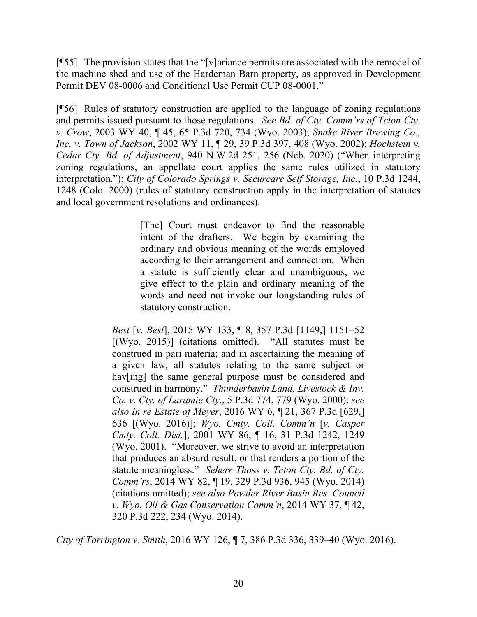[¶55] The provision states that the "[v]ariance permits are associated with the remodel of the machine shed and use of the Hardeman Barn property, as approved in Development Permit DEV 08-0006 and Conditional Use Permit CUP 08-0001."

[¶56] Rules of statutory construction are applied to the language of zoning regulations and permits issued pursuant to those regulations. *See Bd. of Cty. Comm'rs of Teton Cty. v. Crow*, 2003 WY 40, ¶ 45, 65 P.3d 720, 734 (Wyo. 2003); *Snake River Brewing Co., Inc. v. Town of Jackson*, 2002 WY 11, ¶ 29, 39 P.3d 397, 408 (Wyo. 2002); *Hochstein v. Cedar Cty. Bd. of Adjustment*, 940 N.W.2d 251, 256 (Neb. 2020) ("When interpreting zoning regulations, an appellate court applies the same rules utilized in statutory interpretation."); *City of Colorado Springs v. Securcare Self Storage, Inc.*, 10 P.3d 1244, 1248 (Colo. 2000) (rules of statutory construction apply in the interpretation of statutes and local government resolutions and ordinances).

> [The] Court must endeavor to find the reasonable intent of the drafters. We begin by examining the ordinary and obvious meaning of the words employed according to their arrangement and connection. When a statute is sufficiently clear and unambiguous, we give effect to the plain and ordinary meaning of the words and need not invoke our longstanding rules of statutory construction.

*Best* [*v. Best*], 2015 WY 133, ¶ 8, 357 P.3d [1149,] 1151–52 [(Wyo. 2015)] (citations omitted). "All statutes must be construed in pari materia; and in ascertaining the meaning of a given law, all statutes relating to the same subject or hav[ing] the same general purpose must be considered and construed in harmony." *Thunderbasin Land, Livestock & Inv. Co. v. Cty. of Laramie Cty.*, 5 P.3d 774, 779 (Wyo. 2000); *see also In re Estate of Meyer*, 2016 WY 6, ¶ 21, 367 P.3d [629,] 636 [(Wyo. 2016)]; *Wyo. Cmty. Coll. Comm'n* [*v. Casper Cmty. Coll. Dist.*], 2001 WY 86, ¶ 16, 31 P.3d 1242, 1249 (Wyo. 2001). "Moreover, we strive to avoid an interpretation that produces an absurd result, or that renders a portion of the statute meaningless." *Seherr-Thoss v. Teton Cty. Bd. of Cty. Comm'rs*, 2014 WY 82, ¶ 19, 329 P.3d 936, 945 (Wyo. 2014) (citations omitted); *see also Powder River Basin Res. Council v. Wyo. Oil & Gas Conservation Comm'n*, 2014 WY 37, ¶ 42, 320 P.3d 222, 234 (Wyo. 2014).

*City of Torrington v. Smith*, 2016 WY 126, ¶ 7, 386 P.3d 336, 339–40 (Wyo. 2016).